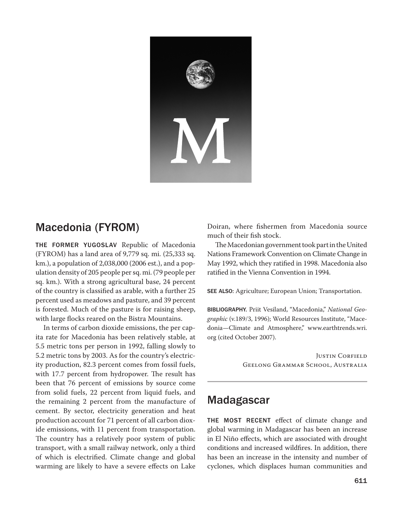

## Macedonia (FYROM)

The Former Yugoslav Republic of Macedonia (FYROM) has a land area of 9,779 sq. mi. (25,333 sq. km.), a population of 2,038,000 (2006 est.), and a population density of 205 people per sq. mi. (79 people per sq. km.). With a strong agricultural base, 24 percent of the country is classified as arable, with a further 25 percent used as meadows and pasture, and 39 percent is forested. Much of the pasture is for raising sheep, with large flocks reared on the Bistra Mountains.

In terms of carbon dioxide emissions, the per capita rate for Macedonia has been relatively stable, at 5.5 metric tons per person in 1992, falling slowly to 5.2 metric tons by 2003. As for the country's electricity production, 82.3 percent comes from fossil fuels, with 17.7 percent from hydropower. The result has been that 76 percent of emissions by source come from solid fuels, 22 percent from liquid fuels, and the remaining 2 percent from the manufacture of cement. By sector, electricity generation and heat production account for 71 percent of all carbon dioxide emissions, with 11 percent from transportation. The country has a relatively poor system of public transport, with a small railway network, only a third of which is electrified. Climate change and global warming are likely to have a severe effects on Lake Doiran, where fishermen from Macedonia source much of their fish stock.

The Macedonian government took part in the United Nations Framework Convention on Climate Change in May 1992, which they ratified in 1998. Macedonia also ratified in the Vienna Convention in 1994.

SEE ALSO: Agriculture; European Union; Transportation.

BIBLIOGRAPHY. Priit Vesiland, "Macedonia," *National Geographic* (v.189/3, 1996); World Resources Institute, "Macedonia—Climate and Atmosphere," www.earthtrends.wri. org (cited October 2007).

> JUSTIN CORFIELD Geelong Grammar School, Australia

## Madagascar

THE MOST RECENT effect of climate change and global warming in Madagascar has been an increase in El Niño effects, which are associated with drought conditions and increased wildfires. In addition, there has been an increase in the intensity and number of cyclones, which displaces human communities and